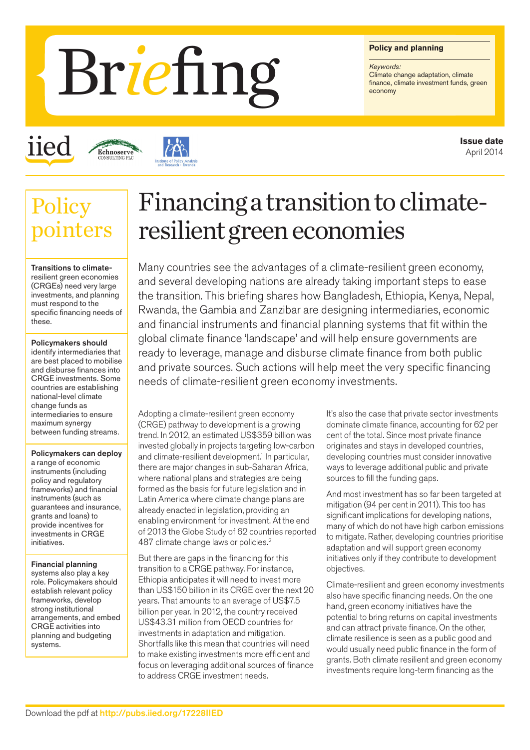#### **Policy and planning**

*Keywords:* Climate change adaptation, climate<br>finance, climate investment funds, green

# Briefing Folioy

iied

**Policy** 



## Financing a transition to climateresilient green economies

Transitions to climateresilient green economies (CRGEs) need very large investments, and planning must respond to the specific financing needs of these.

ters

Policymakers should identify intermediaries that are best placed to mobilise and disburse finances into CRGE investments. Some countries are establishing national-level climate change funds as intermediaries to ensure maximum synergy between funding streams.

Policymakers can deploy a range of economic instruments (including policy and regulatory frameworks) and financial instruments (such as guarantees and insurance, grants and loans) to provide incentives for investments in CRGE initiatives.

Financial planning systems also play a key role. Policymakers should establish relevant policy frameworks, develop strong institutional arrangements, and embed CRGE activities into planning and budgeting systems.

Many countries see the advantages of a climate-resilient green economy, and several developing nations are already taking important steps to ease the transition. This briefing shares how Bangladesh, Ethiopia, Kenya, Nepal, Rwanda, the Gambia and Zanzibar are designing intermediaries, economic and financial instruments and financial planning systems that fit within the global climate finance 'landscape' and will help ensure governments are ready to leverage, manage and disburse climate finance from both public and private sources. Such actions will help meet the very specific financing needs of climate-resilient green economy investments.

Adopting a climate-resilient green economy (CRGE) pathway to development is a growing trend. In 2012, an estimated US\$359 billion was invested globally in projects targeting low-carbon and climate-resilient development.<sup>1</sup> In particular, there are major changes in sub-Saharan Africa, where national plans and strategies are being formed as the basis for future legislation and in Latin America where climate change plans are already enacted in legislation, providing an enabling environment for investment. At the end of 2013 the Globe Study of 62 countries reported 487 climate change laws or policies.<sup>2</sup>

But there are gaps in the financing for this transition to a CRGE pathway. For instance, Ethiopia anticipates it will need to invest more than US\$150 billion in its CRGE over the next 20 years. That amounts to an average of US\$7.5 billion per year. In 2012, the country received US\$43.31 million from OECD countries for investments in adaptation and mitigation. Shortfalls like this mean that countries will need to make existing investments more efficient and focus on leveraging additional sources of finance to address CRGE investment needs.

It's also the case that private sector investments dominate climate finance, accounting for 62 per cent of the total. Since most private finance originates and stays in developed countries, developing countries must consider innovative ways to leverage additional public and private sources to fill the funding gaps.

And most investment has so far been targeted at mitigation (94 per cent in 2011). This too has significant implications for developing nations. many of which do not have high carbon emissions to mitigate. Rather, developing countries prioritise adaptation and will support green economy initiatives only if they contribute to development objectives.

Climate-resilient and green economy investments also have specific financing needs. On the one hand, green economy initiatives have the potential to bring returns on capital investments and can attract private finance. On the other, climate resilience is seen as a public good and would usually need public finance in the form of grants. Both climate resilient and green economy investments require long-term financing as the

**Issue date** April 2014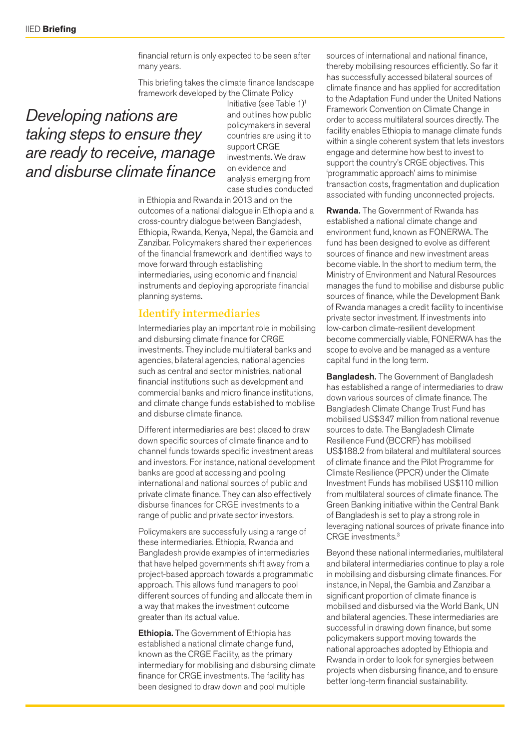financial return is only expected to be seen after many years.

This briefing takes the climate finance landscape framework developed by the Climate Policy

### *Developing nations are taking steps to ensure they are ready to receive, manage and disburse climate finance*

Initiative (see Table 1)1 and outlines how public policymakers in several countries are using it to support CRGE investments. We draw on evidence and analysis emerging from case studies conducted

in Ethiopia and Rwanda in 2013 and on the outcomes of a national dialogue in Ethiopia and a cross-country dialogue between Bangladesh, Ethiopia, Rwanda, Kenya, Nepal, the Gambia and Zanzibar. Policymakers shared their experiences of the financial framework and identified ways to move forward through establishing intermediaries, using economic and financial instruments and deploying appropriate financial planning systems.

#### Identify intermediaries

Intermediaries play an important role in mobilising and disbursing climate finance for CRGE investments. They include multilateral banks and agencies, bilateral agencies, national agencies such as central and sector ministries, national financial institutions such as development and commercial banks and micro finance institutions, and climate change funds established to mobilise and disburse climate finance.

Different intermediaries are best placed to draw down specific sources of climate finance and to channel funds towards specific investment areas and investors. For instance, national development banks are good at accessing and pooling international and national sources of public and private climate finance. They can also effectively disburse finances for CRGE investments to a range of public and private sector investors.

Policymakers are successfully using a range of these intermediaries. Ethiopia, Rwanda and Bangladesh provide examples of intermediaries that have helped governments shift away from a project-based approach towards a programmatic approach. This allows fund managers to pool different sources of funding and allocate them in a way that makes the investment outcome greater than its actual value.

Ethiopia. The Government of Ethiopia has established a national climate change fund, known as the CRGE Facility, as the primary intermediary for mobilising and disbursing climate finance for CRGE investments. The facility has been designed to draw down and pool multiple

sources of international and national finance, thereby mobilising resources efficiently. So far it has successfully accessed bilateral sources of climate finance and has applied for accreditation to the Adaptation Fund under the United Nations Framework Convention on Climate Change in order to access multilateral sources directly. The facility enables Ethiopia to manage climate funds within a single coherent system that lets investors engage and determine how best to invest to support the country's CRGE objectives. This 'programmatic approach' aims to minimise transaction costs, fragmentation and duplication associated with funding unconnected projects.

Rwanda. The Government of Rwanda has established a national climate change and environment fund, known as FONERWA. The fund has been designed to evolve as different sources of finance and new investment areas become viable. In the short to medium term, the Ministry of Environment and Natural Resources manages the fund to mobilise and disburse public sources of finance, while the Development Bank of Rwanda manages a credit facility to incentivise private sector investment. If investments into low-carbon climate-resilient development become commercially viable, FONERWA has the scope to evolve and be managed as a venture capital fund in the long term.

**Bangladesh.** The Government of Bangladesh has established a range of intermediaries to draw down various sources of climate finance. The Bangladesh Climate Change Trust Fund has mobilised US\$347 million from national revenue sources to date. The Bangladesh Climate Resilience Fund (BCCRF) has mobilised US\$188.2 from bilateral and multilateral sources of climate finance and the Pilot Programme for Climate Resilience (PPCR) under the Climate Investment Funds has mobilised US\$110 million from multilateral sources of climate finance. The Green Banking initiative within the Central Bank of Bangladesh is set to play a strong role in leveraging national sources of private finance into CRGE investments.3

Beyond these national intermediaries, multilateral and bilateral intermediaries continue to play a role in mobilising and disbursing climate finances. For instance, in Nepal, the Gambia and Zanzibar a significant proportion of climate finance is mobilised and disbursed via the World Bank, UN and bilateral agencies. These intermediaries are successful in drawing down finance, but some policymakers support moving towards the national approaches adopted by Ethiopia and Rwanda in order to look for synergies between projects when disbursing finance, and to ensure better long-term financial sustainability.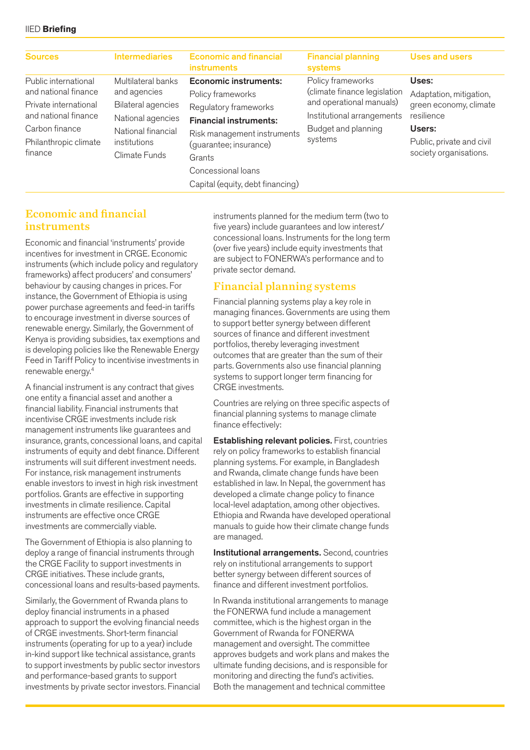#### IIED **Briefing**

| <b>Intermediaries</b>                                                                                                                       | <b>Economic and financial</b><br><b>instruments</b>                                                                                                                                                  | <b>Financial planning</b><br>systems                                                                                                          | <b>Uses and users</b>                                                                                                                     |
|---------------------------------------------------------------------------------------------------------------------------------------------|------------------------------------------------------------------------------------------------------------------------------------------------------------------------------------------------------|-----------------------------------------------------------------------------------------------------------------------------------------------|-------------------------------------------------------------------------------------------------------------------------------------------|
| Multilateral banks<br>and agencies<br><b>Bilateral agencies</b><br>National agencies<br>National financial<br>institutions<br>Climate Funds | <b>Economic instruments:</b><br>Policy frameworks<br>Regulatory frameworks<br><b>Financial instruments:</b><br>Risk management instruments<br>(guarantee; insurance)<br>Grants<br>Concessional loans | Policy frameworks<br>(climate finance legislation<br>and operational manuals)<br>Institutional arrangements<br>Budget and planning<br>systems | Uses:<br>Adaptation, mitigation,<br>green economy, climate<br>resilience<br>Users:<br>Public, private and civil<br>society organisations. |
|                                                                                                                                             |                                                                                                                                                                                                      | Capital (equity, debt financing)                                                                                                              |                                                                                                                                           |

#### Economic and financial instruments

Economic and financial 'instruments' provide incentives for investment in CRGE. Economic instruments (which include policy and regulatory frameworks) affect producers' and consumers' behaviour by causing changes in prices. For instance, the Government of Ethiopia is using power purchase agreements and feed-in tariffs to encourage investment in diverse sources of renewable energy. Similarly, the Government of Kenya is providing subsidies, tax exemptions and is developing policies like the Renewable Energy Feed in Tariff Policy to incentivise investments in renewable energy.4

A financial instrument is any contract that gives one entity a financial asset and another a financial liability. Financial instruments that incentivise CRGE investments include risk management instruments like guarantees and insurance, grants, concessional loans, and capital instruments of equity and debt finance. Different instruments will suit different investment needs. For instance, risk management instruments enable investors to invest in high risk investment portfolios. Grants are effective in supporting investments in climate resilience. Capital instruments are effective once CRGE investments are commercially viable.

The Government of Ethiopia is also planning to deploy a range of financial instruments through the CRGE Facility to support investments in CRGE initiatives. These include grants, concessional loans and results-based payments.

Similarly, the Government of Rwanda plans to deploy financial instruments in a phased approach to support the evolving financial needs of CRGE investments. Short-term financial instruments (operating for up to a year) include in-kind support like technical assistance, grants to support investments by public sector investors and performance-based grants to support investments by private sector investors. Financial instruments planned for the medium term (two to five years) include guarantees and low interest/ concessional loans. Instruments for the long term (over five years) include equity investments that are subject to FONERWA's performance and to private sector demand.

#### Financial planning systems

Financial planning systems play a key role in managing finances. Governments are using them to support better synergy between different sources of finance and different investment portfolios, thereby leveraging investment outcomes that are greater than the sum of their parts. Governments also use financial planning systems to support longer term financing for CRGE investments.

Countries are relying on three specific aspects of financial planning systems to manage climate finance effectively:

**Establishing relevant policies.** First, countries rely on policy frameworks to establish financial planning systems. For example, in Bangladesh and Rwanda, climate change funds have been established in law. In Nepal, the government has developed a climate change policy to finance local-level adaptation, among other objectives. Ethiopia and Rwanda have developed operational manuals to guide how their climate change funds are managed.

**Institutional arrangements.** Second, countries rely on institutional arrangements to support better synergy between different sources of finance and different investment portfolios.

In Rwanda institutional arrangements to manage the FONERWA fund include a management committee, which is the highest organ in the Government of Rwanda for FONERWA management and oversight. The committee approves budgets and work plans and makes the ultimate funding decisions, and is responsible for monitoring and directing the fund's activities. Both the management and technical committee